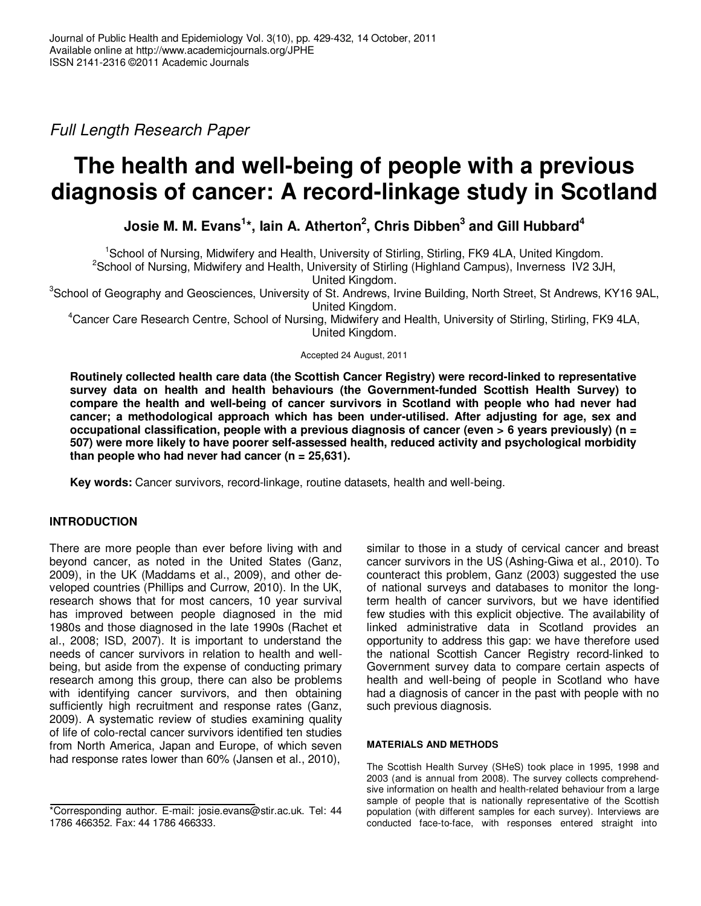Full Length Research Paper

# **The health and well-being of people with a previous diagnosis of cancer: A record-linkage study in Scotland**

**Josie M. M. Evans<sup>1</sup> \*, Iain A. Atherton<sup>2</sup> , Chris Dibben<sup>3</sup> and Gill Hubbard<sup>4</sup>**

<sup>1</sup>School of Nursing, Midwifery and Health, University of Stirling, Stirling, FK9 4LA, United Kingdom.

 $2$ School of Nursing, Midwifery and Health, University of Stirling (Highland Campus), Inverness IV2 3JH,

United Kingdom.

<sup>3</sup>School of Geography and Geosciences, University of St. Andrews, Irvine Building, North Street, St Andrews, KY16 9AL, United Kingdom.

<sup>4</sup>Cancer Care Research Centre, School of Nursing, Midwifery and Health, University of Stirling, Stirling, FK9 4LA, United Kingdom.

Accepted 24 August, 2011

**Routinely collected health care data (the Scottish Cancer Registry) were record-linked to representative survey data on health and health behaviours (the Government-funded Scottish Health Survey) to compare the health and well-being of cancer survivors in Scotland with people who had never had cancer; a methodological approach which has been under-utilised. After adjusting for age, sex and occupational classification, people with a previous diagnosis of cancer (even > 6 years previously) (n = 507) were more likely to have poorer self-assessed health, reduced activity and psychological morbidity than people who had never had cancer (n = 25,631).** 

**Key words:** Cancer survivors, record-linkage, routine datasets, health and well-being.

## **INTRODUCTION**

There are more people than ever before living with and beyond cancer, as noted in the United States (Ganz, 2009), in the UK (Maddams et al., 2009), and other developed countries (Phillips and Currow, 2010). In the UK, research shows that for most cancers, 10 year survival has improved between people diagnosed in the mid 1980s and those diagnosed in the late 1990s (Rachet et al., 2008; ISD, 2007). It is important to understand the needs of cancer survivors in relation to health and wellbeing, but aside from the expense of conducting primary research among this group, there can also be problems with identifying cancer survivors, and then obtaining sufficiently high recruitment and response rates (Ganz, 2009). A systematic review of studies examining quality of life of colo-rectal cancer survivors identified ten studies from North America, Japan and Europe, of which seven had response rates lower than 60% (Jansen et al., 2010),

similar to those in a study of cervical cancer and breast cancer survivors in the US (Ashing-Giwa et al., 2010). To counteract this problem, Ganz (2003) suggested the use of national surveys and databases to monitor the longterm health of cancer survivors, but we have identified few studies with this explicit objective. The availability of linked administrative data in Scotland provides an opportunity to address this gap: we have therefore used the national Scottish Cancer Registry record-linked to Government survey data to compare certain aspects of health and well-being of people in Scotland who have had a diagnosis of cancer in the past with people with no such previous diagnosis.

### **MATERIALS AND METHODS**

The Scottish Health Survey (SHeS) took place in 1995, 1998 and 2003 (and is annual from 2008). The survey collects comprehendsive information on health and health-related behaviour from a large sample of people that is nationally representative of the Scottish population (with different samples for each survey). Interviews are conducted face-to-face, with responses entered straight into

<sup>\*</sup>Corresponding author. E-mail: josie.evans@stir.ac.uk. Tel: 44 1786 466352. Fax: 44 1786 466333.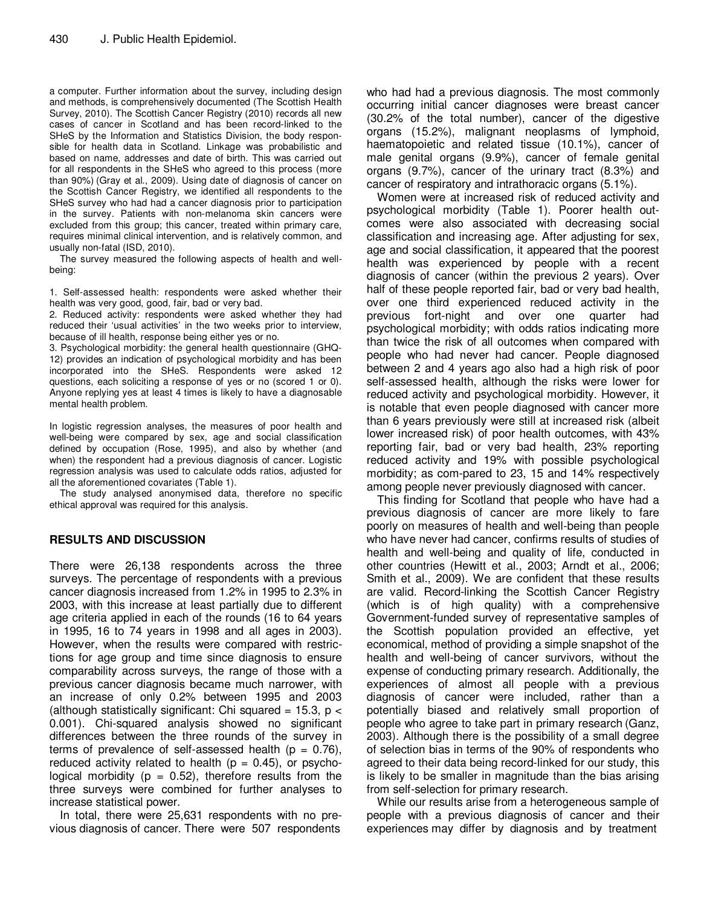a computer. Further information about the survey, including design and methods, is comprehensively documented (The Scottish Health Survey, 2010). The Scottish Cancer Registry (2010) records all new cases of cancer in Scotland and has been record-linked to the SHeS by the Information and Statistics Division, the body responsible for health data in Scotland. Linkage was probabilistic and based on name, addresses and date of birth. This was carried out for all respondents in the SHeS who agreed to this process (more than 90%) (Gray et al., 2009). Using date of diagnosis of cancer on the Scottish Cancer Registry, we identified all respondents to the SHeS survey who had had a cancer diagnosis prior to participation in the survey. Patients with non-melanoma skin cancers were excluded from this group; this cancer, treated within primary care, requires minimal clinical intervention, and is relatively common, and usually non-fatal (ISD, 2010).

The survey measured the following aspects of health and wellbeing:

1. Self-assessed health: respondents were asked whether their health was very good, good, fair, bad or very bad.

2. Reduced activity: respondents were asked whether they had reduced their 'usual activities' in the two weeks prior to interview, because of ill health, response being either yes or no.

3. Psychological morbidity: the general health questionnaire (GHQ-12) provides an indication of psychological morbidity and has been incorporated into the SHeS. Respondents were asked 12 questions, each soliciting a response of yes or no (scored 1 or 0). Anyone replying yes at least 4 times is likely to have a diagnosable mental health problem.

In logistic regression analyses, the measures of poor health and well-being were compared by sex, age and social classification defined by occupation (Rose, 1995), and also by whether (and when) the respondent had a previous diagnosis of cancer. Logistic regression analysis was used to calculate odds ratios, adjusted for all the aforementioned covariates (Table 1).

The study analysed anonymised data, therefore no specific ethical approval was required for this analysis.

### **RESULTS AND DISCUSSION**

There were 26,138 respondents across the three surveys. The percentage of respondents with a previous cancer diagnosis increased from 1.2% in 1995 to 2.3% in 2003, with this increase at least partially due to different age criteria applied in each of the rounds (16 to 64 years in 1995, 16 to 74 years in 1998 and all ages in 2003). However, when the results were compared with restrictions for age group and time since diagnosis to ensure comparability across surveys, the range of those with a previous cancer diagnosis became much narrower, with an increase of only 0.2% between 1995 and 2003 (although statistically significant: Chi squared = 15.3,  $p <$ 0.001). Chi-squared analysis showed no significant differences between the three rounds of the survey in terms of prevalence of self-assessed health ( $p = 0.76$ ), reduced activity related to health ( $p = 0.45$ ), or psychological morbidity ( $p = 0.52$ ), therefore results from the three surveys were combined for further analyses to increase statistical power.

In total, there were 25,631 respondents with no previous diagnosis of cancer. There were 507 respondents who had had a previous diagnosis. The most commonly occurring initial cancer diagnoses were breast cancer (30.2% of the total number), cancer of the digestive organs (15.2%), malignant neoplasms of lymphoid, haematopoietic and related tissue (10.1%), cancer of male genital organs (9.9%), cancer of female genital organs (9.7%), cancer of the urinary tract (8.3%) and cancer of respiratory and intrathoracic organs (5.1%).

Women were at increased risk of reduced activity and psychological morbidity (Table 1). Poorer health outcomes were also associated with decreasing social classification and increasing age. After adjusting for sex, age and social classification, it appeared that the poorest health was experienced by people with a recent diagnosis of cancer (within the previous 2 years). Over half of these people reported fair, bad or very bad health, over one third experienced reduced activity in the previous fort-night and over one quarter had psychological morbidity; with odds ratios indicating more than twice the risk of all outcomes when compared with people who had never had cancer. People diagnosed between 2 and 4 years ago also had a high risk of poor self-assessed health, although the risks were lower for reduced activity and psychological morbidity. However, it is notable that even people diagnosed with cancer more than 6 years previously were still at increased risk (albeit lower increased risk) of poor health outcomes, with 43% reporting fair, bad or very bad health, 23% reporting reduced activity and 19% with possible psychological morbidity; as com-pared to 23, 15 and 14% respectively among people never previously diagnosed with cancer.

This finding for Scotland that people who have had a previous diagnosis of cancer are more likely to fare poorly on measures of health and well-being than people who have never had cancer, confirms results of studies of health and well-being and quality of life, conducted in other countries (Hewitt et al., 2003; Arndt et al., 2006; Smith et al., 2009). We are confident that these results are valid. Record-linking the Scottish Cancer Registry (which is of high quality) with a comprehensive Government-funded survey of representative samples of the Scottish population provided an effective, yet economical, method of providing a simple snapshot of the health and well-being of cancer survivors, without the expense of conducting primary research. Additionally, the experiences of almost all people with a previous diagnosis of cancer were included, rather than a potentially biased and relatively small proportion of people who agree to take part in primary research (Ganz, 2003). Although there is the possibility of a small degree of selection bias in terms of the 90% of respondents who agreed to their data being record-linked for our study, this is likely to be smaller in magnitude than the bias arising from self-selection for primary research.

While our results arise from a heterogeneous sample of people with a previous diagnosis of cancer and their experiences may differ by diagnosis and by treatment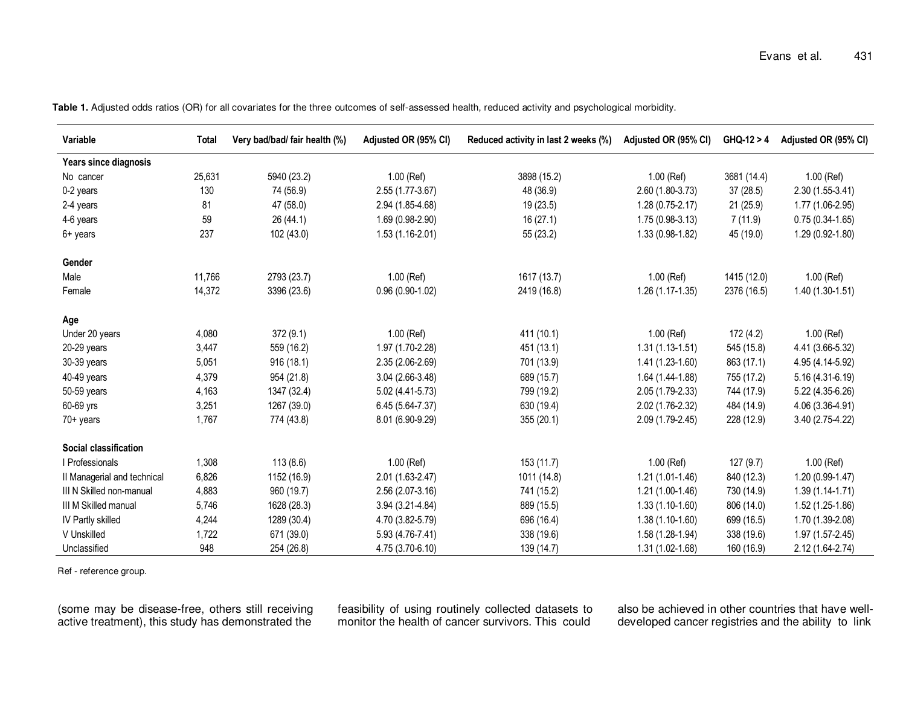| Variable                    | Total  | Very bad/bad/ fair health (%) | Adjusted OR (95% CI) | Reduced activity in last 2 weeks (%) | Adjusted OR (95% CI) | $GHQ-12 > 4$ | Adjusted OR (95% CI) |
|-----------------------------|--------|-------------------------------|----------------------|--------------------------------------|----------------------|--------------|----------------------|
| Years since diagnosis       |        |                               |                      |                                      |                      |              |                      |
| No cancer                   | 25,631 | 5940 (23.2)                   | 1.00 (Ref)           | 3898 (15.2)                          | 1.00 (Ref)           | 3681 (14.4)  | $1.00$ (Ref)         |
| 0-2 years                   | 130    | 74 (56.9)                     | 2.55 (1.77-3.67)     | 48 (36.9)                            | 2.60 (1.80-3.73)     | 37(28.5)     | $2.30(1.55-3.41)$    |
| 2-4 years                   | 81     | 47 (58.0)                     | 2.94 (1.85-4.68)     | 19 (23.5)                            | $1.28(0.75-2.17)$    | 21 (25.9)    | 1.77 (1.06-2.95)     |
| 4-6 years                   | 59     | 26 (44.1)                     | $1.69(0.98-2.90)$    | 16(27.1)                             | $1.75(0.98-3.13)$    | 7(11.9)      | $0.75(0.34-1.65)$    |
| 6+ years                    | 237    | 102 (43.0)                    | $1.53(1.16-2.01)$    | 55 (23.2)                            | $1.33(0.98-1.82)$    | 45 (19.0)    | 1.29 (0.92-1.80)     |
| Gender                      |        |                               |                      |                                      |                      |              |                      |
| Male                        | 11,766 | 2793 (23.7)                   | 1.00 (Ref)           | 1617 (13.7)                          | 1.00 (Ref)           | 1415 (12.0)  | $1.00$ (Ref)         |
| Female                      | 14,372 | 3396 (23.6)                   | $0.96(0.90-1.02)$    | 2419 (16.8)                          | $1.26(1.17-1.35)$    | 2376 (16.5)  | $1.40(1.30-1.51)$    |
| Age                         |        |                               |                      |                                      |                      |              |                      |
| Under 20 years              | 4,080  | 372(9.1)                      | $1.00$ (Ref)         | 411 (10.1)                           | $1.00$ (Ref)         | 172(4.2)     | $1.00$ (Ref)         |
| 20-29 years                 | 3,447  | 559 (16.2)                    | 1.97 (1.70-2.28)     | 451 (13.1)                           | $1.31(1.13-1.51)$    | 545 (15.8)   | 4.41 (3.66-5.32)     |
| 30-39 years                 | 5,051  | 916 (18.1)                    | 2.35 (2.06-2.69)     | 701 (13.9)                           | $1.41(1.23-1.60)$    | 863 (17.1)   | 4.95 (4.14-5.92)     |
| 40-49 years                 | 4,379  | 954 (21.8)                    | $3.04(2.66-3.48)$    | 689 (15.7)                           | 1.64 (1.44-1.88)     | 755 (17.2)   | $5.16(4.31-6.19)$    |
| 50-59 years                 | 4,163  | 1347 (32.4)                   | 5.02 (4.41-5.73)     | 799 (19.2)                           | 2.05 (1.79-2.33)     | 744 (17.9)   | 5.22 (4.35-6.26)     |
| 60-69 yrs                   | 3,251  | 1267 (39.0)                   | 6.45 (5.64-7.37)     | 630 (19.4)                           | 2.02 (1.76-2.32)     | 484 (14.9)   | 4.06 (3.36-4.91)     |
| 70+ years                   | 1,767  | 774 (43.8)                    | 8.01 (6.90-9.29)     | 355 (20.1)                           | 2.09 (1.79-2.45)     | 228 (12.9)   | 3.40 (2.75-4.22)     |
| Social classification       |        |                               |                      |                                      |                      |              |                      |
| I Professionals             | 1,308  | 113(8.6)                      | 1.00 (Ref)           | 153(11.7)                            | 1.00 (Ref)           | 127(9.7)     | 1.00 (Ref)           |
| II Managerial and technical | 6,826  | 1152 (16.9)                   | 2.01 (1.63-2.47)     | 1011 (14.8)                          | $1.21(1.01-1.46)$    | 840 (12.3)   | $1.20(0.99-1.47)$    |
| III N Skilled non-manual    | 4,883  | 960 (19.7)                    | 2.56 (2.07-3.16)     | 741 (15.2)                           | $1.21(1.00-1.46)$    | 730 (14.9)   | $1.39(1.14-1.71)$    |
| III M Skilled manual        | 5,746  | 1628 (28.3)                   | 3.94 (3.21-4.84)     | 889 (15.5)                           | $1.33(1.10-1.60)$    | 806 (14.0)   | 1.52 (1.25-1.86)     |
| IV Partly skilled           | 4,244  | 1289 (30.4)                   | 4.70 (3.82-5.79)     | 696 (16.4)                           | $1.38(1.10-1.60)$    | 699 (16.5)   | 1.70 (1.39-2.08)     |
| V Unskilled                 | 1,722  | 671 (39.0)                    | 5.93 (4.76-7.41)     | 338 (19.6)                           | 1.58 (1.28-1.94)     | 338 (19.6)   | $1.97(1.57 - 2.45)$  |
| Unclassified                | 948    | 254 (26.8)                    | 4.75 (3.70-6.10)     | 139 (14.7)                           | 1.31 (1.02-1.68)     | 160 (16.9)   | 2.12 (1.64-2.74)     |

Table 1. Adjusted odds ratios (OR) for all covariates for the three outcomes of self-assessed health, reduced activity and psychological morbidity.

Ref - reference group.

(some may be disease-free, others still receiving active treatment), this study has demonstrated the

feasibility of using routinely collected datasets to monitor the health of cancer survivors. This could

also be achieved in other countries that have welldeveloped cancer registries and the ability to link